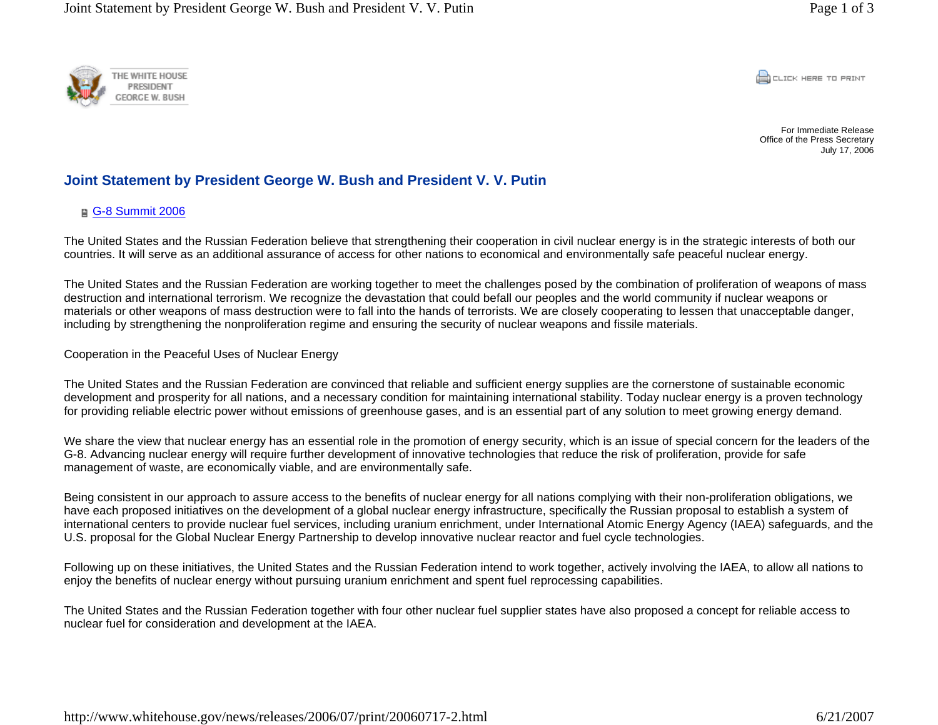

**CONCRETE PRINT** 

For Immediate Release Office of the Press Secretary July 17, 2006

## **Joint Statement by President George W. Bush and President V. V. Putin**

## G-8 Summit 2006

The United States and the Russian Federation believe that strengthening their cooperation in civil nuclear energy is in the strategic interests of both our countries. It will serve as an additional assurance of access for other nations to economical and environmentally safe peaceful nuclear energy.

The United States and the Russian Federation are working together to meet the challenges posed by the combination of proliferation of weapons of mass destruction and international terrorism. We recognize the devastation that could befall our peoples and the world community if nuclear weapons or materials or other weapons of mass destruction were to fall into the hands of terrorists. We are closely cooperating to lessen that unacceptable danger, including by strengthening the nonproliferation regime and ensuring the security of nuclear weapons and fissile materials.

Cooperation in the Peaceful Uses of Nuclear Energy

The United States and the Russian Federation are convinced that reliable and sufficient energy supplies are the cornerstone of sustainable economic development and prosperity for all nations, and a necessary condition for maintaining international stability. Today nuclear energy is a proven technology for providing reliable electric power without emissions of greenhouse gases, and is an essential part of any solution to meet growing energy demand.

We share the view that nuclear energy has an essential role in the promotion of energy security, which is an issue of special concern for the leaders of the G-8. Advancing nuclear energy will require further development of innovative technologies that reduce the risk of proliferation, provide for safe management of waste, are economically viable, and are environmentally safe.

Being consistent in our approach to assure access to the benefits of nuclear energy for all nations complying with their non-proliferation obligations, we have each proposed initiatives on the development of a global nuclear energy infrastructure, specifically the Russian proposal to establish a system of international centers to provide nuclear fuel services, including uranium enrichment, under International Atomic Energy Agency (IAEA) safeguards, and the U.S. proposal for the Global Nuclear Energy Partnership to develop innovative nuclear reactor and fuel cycle technologies.

Following up on these initiatives, the United States and the Russian Federation intend to work together, actively involving the IAEA, to allow all nations to enjoy the benefits of nuclear energy without pursuing uranium enrichment and spent fuel reprocessing capabilities.

The United States and the Russian Federation together with four other nuclear fuel supplier states have also proposed a concept for reliable access to nuclear fuel for consideration and development at the IAEA.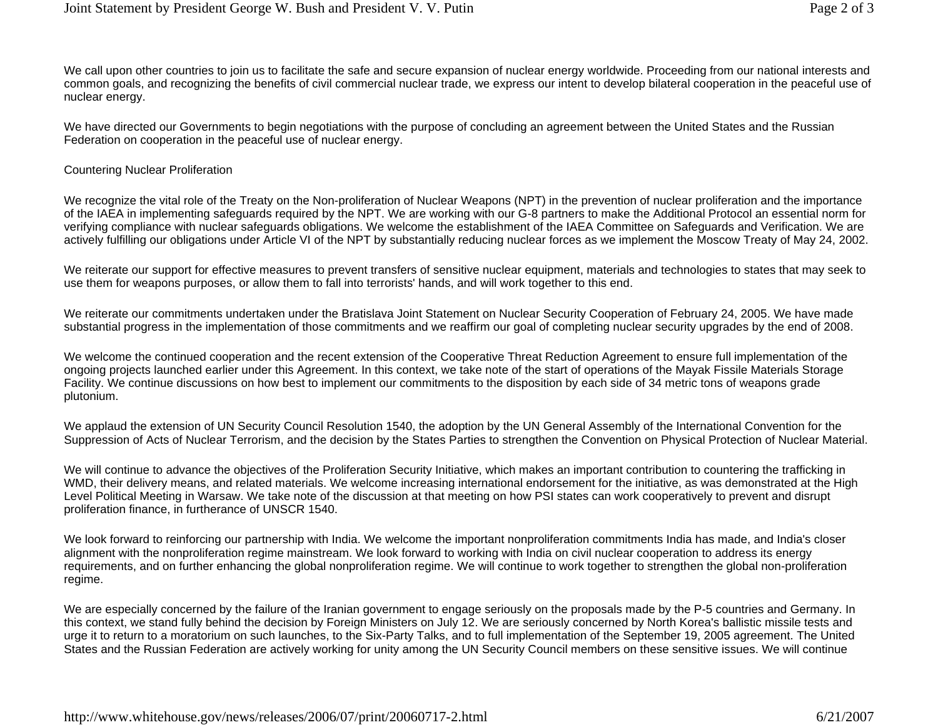We call upon other countries to join us to facilitate the safe and secure expansion of nuclear energy worldwide. Proceeding from our national interests and common goals, and recognizing the benefits of civil commercial nuclear trade, we express our intent to develop bilateral cooperation in the peaceful use of nuclear energy.

We have directed our Governments to begin negotiations with the purpose of concluding an agreement between the United States and the Russian Federation on cooperation in the peaceful use of nuclear energy.

## Countering Nuclear Proliferation

We recognize the vital role of the Treaty on the Non-proliferation of Nuclear Weapons (NPT) in the prevention of nuclear proliferation and the importance of the IAEA in implementing safeguards required by the NPT. We are working with our G-8 partners to make the Additional Protocol an essential norm for verifying compliance with nuclear safeguards obligations. We welcome the establishment of the IAEA Committee on Safeguards and Verification. We are actively fulfilling our obligations under Article VI of the NPT by substantially reducing nuclear forces as we implement the Moscow Treaty of May 24, 2002.

We reiterate our support for effective measures to prevent transfers of sensitive nuclear equipment, materials and technologies to states that may seek to use them for weapons purposes, or allow them to fall into terrorists' hands, and will work together to this end.

We reiterate our commitments undertaken under the Bratislava Joint Statement on Nuclear Security Cooperation of February 24, 2005. We have made substantial progress in the implementation of those commitments and we reaffirm our goal of completing nuclear security upgrades by the end of 2008.

We welcome the continued cooperation and the recent extension of the Cooperative Threat Reduction Agreement to ensure full implementation of the ongoing projects launched earlier under this Agreement. In this context, we take note of the start of operations of the Mayak Fissile Materials Storage Facility. We continue discussions on how best to implement our commitments to the disposition by each side of 34 metric tons of weapons grade plutonium.

We applaud the extension of UN Security Council Resolution 1540, the adoption by the UN General Assembly of the International Convention for the Suppression of Acts of Nuclear Terrorism, and the decision by the States Parties to strengthen the Convention on Physical Protection of Nuclear Material.

We will continue to advance the objectives of the Proliferation Security Initiative, which makes an important contribution to countering the trafficking in WMD, their delivery means, and related materials. We welcome increasing international endorsement for the initiative, as was demonstrated at the High Level Political Meeting in Warsaw. We take note of the discussion at that meeting on how PSI states can work cooperatively to prevent and disrupt proliferation finance, in furtherance of UNSCR 1540.

We look forward to reinforcing our partnership with India. We welcome the important nonproliferation commitments India has made, and India's closer alignment with the nonproliferation regime mainstream. We look forward to working with India on civil nuclear cooperation to address its energy requirements, and on further enhancing the global nonproliferation regime. We will continue to work together to strengthen the global non-proliferation regime.

We are especially concerned by the failure of the Iranian government to engage seriously on the proposals made by the P-5 countries and Germany. In this context, we stand fully behind the decision by Foreign Ministers on July 12. We are seriously concerned by North Korea's ballistic missile tests and urge it to return to a moratorium on such launches, to the Six-Party Talks, and to full implementation of the September 19, 2005 agreement. The United States and the Russian Federation are actively working for unity among the UN Security Council members on these sensitive issues. We will continue